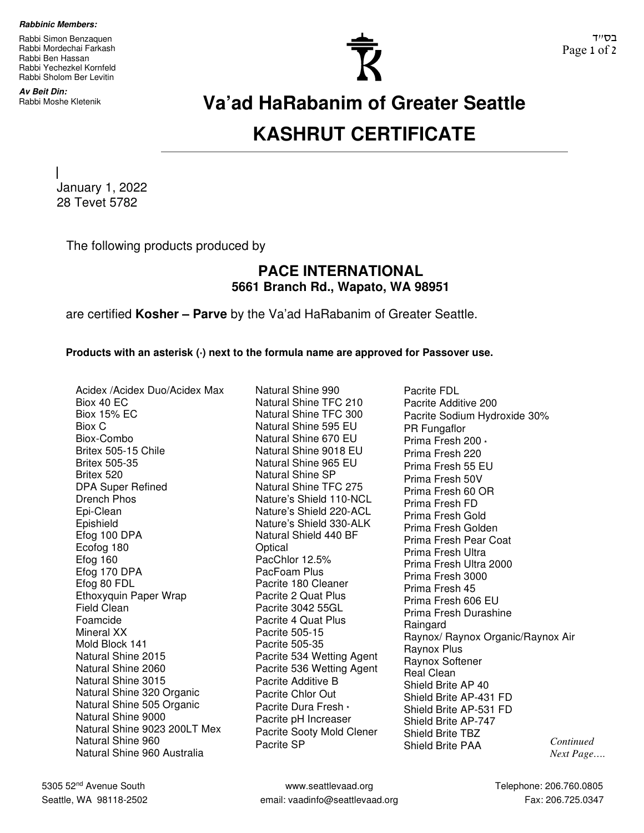**Rabbinic Members:** 

Rabbi Simon Benzaquen Rabbi Mordechai Farkash Rabbi Ben Hassan Rabbi Yechezkel Kornfeld Rabbi Sholom Ber Levitin

**Av Beit Din:** 



## Rabbi Moshe Kletenik **Va'ad HaRabanim of Greater Seattle KASHRUT CERTIFICATE**

January 1, 2022 28 Tevet 5782

The following products produced by

## **PACE INTERNATIONAL 5661 Branch Rd., Wapato, WA 98951**

are certified **Kosher – Parve** by the Va'ad HaRabanim of Greater Seattle.

**Products with an asterisk (\*) next to the formula name are approved for Passover use.** 

Acidex /Acidex Duo/Acidex Max Biox 40 EC Biox 15% EC Biox C Biox-Combo Britex 505-15 Chile Britex 505-35 Britex 520 DPA Super Refined Drench Phos Epi-Clean Epishield Efog 100 DPA Ecofog 180 Efog 160 Efog 170 DPA Efog 80 FDL Ethoxyquin Paper Wrap Field Clean Foamcide Mineral XX Mold Block 141 Natural Shine 2015 Natural Shine 2060 Natural Shine 3015 Natural Shine 320 Organic Natural Shine 505 Organic Natural Shine 9000 Natural Shine 9023 200LT Mex Natural Shine 960 Natural Shine 960 Australia

Natural Shine 990 Natural Shine TFC 210 Natural Shine TFC 300 Natural Shine 595 EU Natural Shine 670 EU Natural Shine 9018 EU Natural Shine 965 EU Natural Shine SP Natural Shine TFC 275 Nature's Shield 110-NCL Nature's Shield 220-ACL Nature's Shield 330-ALK Natural Shield 440 BF Optical PacChlor 12.5% PacFoam Plus Pacrite 180 Cleaner Pacrite 2 Quat Plus Pacrite 3042 55GL Pacrite 4 Quat Plus Pacrite 505-15 Pacrite 505-35 Pacrite 534 Wetting Agent Pacrite 536 Wetting Agent Pacrite Additive B Pacrite Chlor Out Pacrite Dura Fresh **\*** Pacrite pH Increaser Pacrite Sooty Mold Clener Pacrite SP

Pacrite FDL Pacrite Additive 200 Pacrite Sodium Hydroxide 30% PR Fungaflor Prima Fresh 200 **\***  Prima Fresh 220 Prima Fresh 55 EU Prima Fresh 50V Prima Fresh 60 OR Prima Fresh FD Prima Fresh Gold Prima Fresh Golden Prima Fresh Pear Coat Prima Fresh Ultra Prima Fresh Ultra 2000 Prima Fresh 3000 Prima Fresh 45 Prima Fresh 606 EU Prima Fresh Durashine Raingard Raynox/ Raynox Organic/Raynox Air Raynox Plus Raynox Softener Real Clean Shield Brite AP 40 Shield Brite AP-431 FD Shield Brite AP-531 FD Shield Brite AP-747 Shield Brite TBZ Shield Brite PAA *Continued* 

*Next Page….*